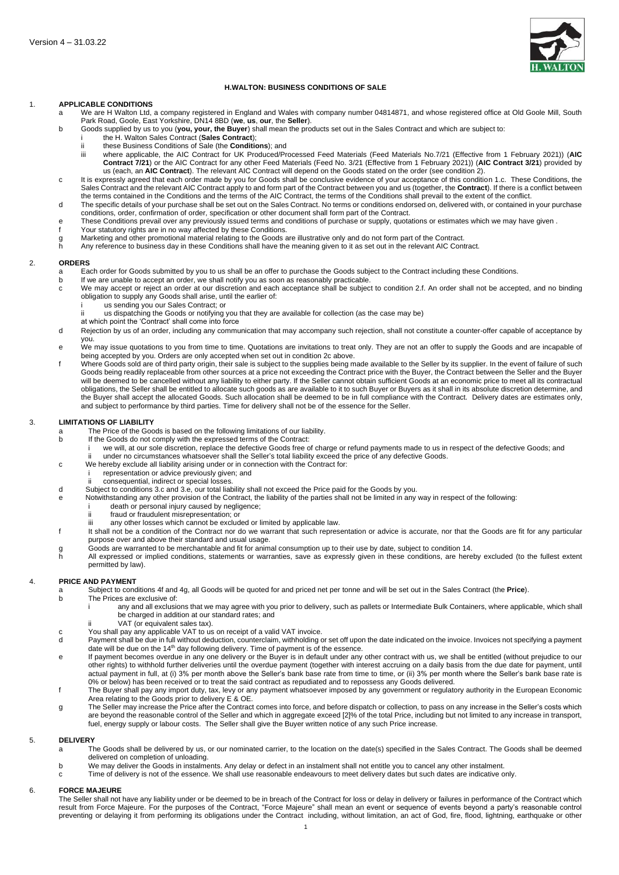

# **H.WALTON: BUSINESS CONDITIONS OF SALE**

#### 1. **APPLICABLE CONDITIONS**

- a We are H Walton Ltd, a company registered in England and Wales with company number 04814871, and whose registered office at Old Goole Mill, South Park Road, Goole, East Yorkshire, DN14 8BD (**we**, **us**, **our**, the **Seller**).
- b Goods supplied by us to you (**you, your, the Buyer**) shall mean the products set out in the Sales Contract and which are subject to:
	- i the H. Walton Sales Contract (**Sales Contract**);
	- these Business Conditions of Sale (the **Conditions**); and
	- iii where applicable, the AIC Contract for UK Produced/Processed Feed Materials (Feed Materials No.7/21 (Effective from 1 February 2021)) (**AIC Contract 7/21**) or the AIC Contract for any other Feed Materials (Feed No. 3/21 (Effective from 1 February 2021)) (**AIC Contract 3/21**) provided by us (each, an **AIC Contract**). The relevant AIC Contract will depend on the Goods stated on the order (see condition [2\)](#page-0-0).
- <span id="page-0-1"></span>c It is expressly agreed that each order made by you for Goods shall be conclusive evidence of your acceptance of this condition [1.c.](#page-0-1) These Conditions, the Sales Contract and the relevant AIC Contract apply to and form part of the Contract between you and us (together, the **Contract**). If there is a conflict between the terms contained in the Conditions and the terms of the AIC Contract, the terms of the Conditions shall prevail to the extent of the conflict.
- d The specific details of your purchase shall be set out on the Sales Contract. No terms or conditions endorsed on, delivered with, or contained in your purchase conditions, order, confirmation of order, specification or other document shall form part of the Contract.
- e These Conditions prevail over any previously issued terms and conditions of purchase or supply, quotations or estimates which we may have given .
- f Your statutory rights are in no way affected by these Conditions.
- g Marketing and other promotional material relating to the Goods are illustrative only and do not form part of the Contract.<br>h Any reference to business day in these Conditions shall have the meaning given to it as set out
- Any reference to business day in these Conditions shall have the meaning given to it as set out in the relevant AIC Contract.

#### <span id="page-0-0"></span>2. **ORDERS**

- a Each order for Goods submitted by you to us shall be an offer to purchase the Goods subject to the Contract including these Conditions.<br>If we are unable to accept an order, we shall notify you as soon as reasonably pract
- b If we are unable to accept an order, we shall notify you as soon as reasonably practicable.<br>C We may accept or reject an order at our discretion and each acceptance shall be subject
	- We may accept or reject an order at our discretion and each acceptance shall be subject to condition [2.f.](#page-0-2) An order shall not be accepted, and no binding obligation to supply any Goods shall arise, until the earlier of:
	- i us sending you our Sales Contract; or<br>ii us dispatching the Goods or potifying your
	- us dispatching the Goods or notifying you that they are available for collection (as the case may be)
	- at which point the 'Contract' shall come into force
- d Rejection by us of an order, including any communication that may accompany such rejection, shall not constitute a counter-offer capable of acceptance by you.
- e We may issue quotations to you from time to time. Quotations are invitations to treat only. They are not an offer to supply the Goods and are incapable of being accepted by you. Orders are only accepted when set out in condition 2c above.
- <span id="page-0-2"></span>Where Goods sold are of third party origin, their sale is subject to the supplies being made available to the Seller by its supplier. In the event of failure of such Goods being readily replaceable from other sources at a price not exceeding the Contract price with the Buyer, the Contract between the Seller and the Buyer will be deemed to be cancelled without any liability to either party. If the Seller cannot obtain sufficient Goods at an economic price to meet all its contractual obligations, the Seller shall be entitled to allocate such goods as are available to it to such Buyer or Buyers as it shall in its absolute discretion determine, and the Buyer shall accept the allocated Goods. Such allocation shall be deemed to be in full compliance with the Contract. Delivery dates are estimates only, and subject to performance by third parties. Time for delivery shall not be of the essence for the Seller.

#### 3. **LIMITATIONS OF LIABILITY**

- a The Price of the Goods is based on the following limitations of our liability.<br>
If the Goods do not comply with the expressed terms of the Contract:
	- If the Goods do not comply with the expressed terms of the Contract:
		- i we will, at our sole discretion, replace the defective Goods free of charge or refund payments made to us in respect of the defective Goods; and ii under no circumstances whatsoever shall the Seller's total liability exceed the price of any defective Goods.
	- c We hereby exclude all liability arising under or in connection with the Contract for:
		- representation or advice previously given; and
		- consequential, indirect or special losses.
- <span id="page-0-3"></span>d Subject to conditions [3.c](#page-0-3) and [3.e,](#page-0-4) our total liability shall not exceed the Price paid for the Goods by you.
- <span id="page-0-4"></span>e Notwithstanding any other provision of the Contract, the liability of the parties shall not be limited in any way in respect of the following:
	- i death or personal injury caused by negligence;<br>ii fraud or fraudulent misrepresentation: or
		- fraud or fraudulent misrepresentation; or
		- iii any other losses which cannot be excluded or limited by applicable law.
- f It shall not be a condition of the Contract nor do we warrant that such representation or advice is accurate, nor that the Goods are fit for any particular purpose over and above their standard and usual usage.
- 
- g Goods are warranted to be merchantable and fit for animal consumption up to their use by date, subject to condition 14.<br>h All expressed or implied conditions, statements or warranties, save as expressly given in these co All expressed or implied conditions, statements or warranties, save as expressly given in these conditions, are hereby excluded (to the fullest extent permitted by law).

#### 4. **PRICE AND PAYMENT**

- a Subject to conditions [4f](#page-0-5) and [4g,](#page-0-6) all Goods will be quoted for and priced net per tonne and will be set out in the Sales Contract (the **Price**).
- The Prices are exclusive of:
	- any and all exclusions that we may agree with you prior to delivery, such as pallets or Intermediate Bulk Containers, where applicable, which shall be charged in addition at our standard rates; and
	- VAT (or equivalent sales tax).
- c You shall pay any applicable VAT to us on receipt of a valid VAT invoice.<br>d Payment shall be due in full without deduction counterclaim withholding or
- Payment shall be due in full without deduction, counterclaim, withholding or set off upon the date indicated on the invoice. Invoices not specifying a payment date will be due on the 14<sup>th</sup> day following delivery. Time of payment is of the essence.
- e If payment becomes overdue in any one delivery or the Buyer is in default under any other contract with us, we shall be entitled (without prejudice to our other rights) to withhold further deliveries until the overdue payment (together with interest accruing on a daily basis from the due date for payment, until actual payment in full, at (i) 3% per month above the Seller's bank base rate from time to time, or (ii) 3% per month where the Seller's bank base rate is 0% or below) has been received or to treat the said contract as repudiated and to repossess any Goods delivered.
- <span id="page-0-5"></span>f The Buyer shall pay any import duty, tax, levy or any payment whatsoever imposed by any government or regulatory authority in the European Economic Area relating to the Goods prior to delivery E & OE.
- <span id="page-0-6"></span>g The Seller may increase the Price after the Contract comes into force, and before dispatch or collection, to pass on any increase in the Seller's costs which are beyond the reasonable control of the Seller and which in aggregate exceed [2]% of the total Price, including but not limited to any increase in transport, fuel, energy supply or labour costs. The Seller shall give the Buyer written notice of any such Price increase.

#### 5. **DELIVERY**

- a The Goods shall be delivered by us, or our nominated carrier, to the location on the date(s) specified in the Sales Contract. The Goods shall be deemed delivered on completion of unloading.
- b We may deliver the Goods in instalments. Any delay or defect in an instalment shall not entitle you to cancel any other instalment.
- c Time of delivery is not of the essence. We shall use reasonable endeavours to meet delivery dates but such dates are indicative only.

### 6. **FORCE MAJEURE**

The Seller shall not have any liability under or be deemed to be in breach of the Contract for loss or delay in delivery or failures in performance of the Contract which result from Force Majeure. For the purposes of the Contract, "Force Majeure" shall mean an event or sequence of events beyond a party's reasonable control preventing or delaying it from performing its obligations under the Contract including, without limitation, an act of God, fire, flood, lightning, earthquake or other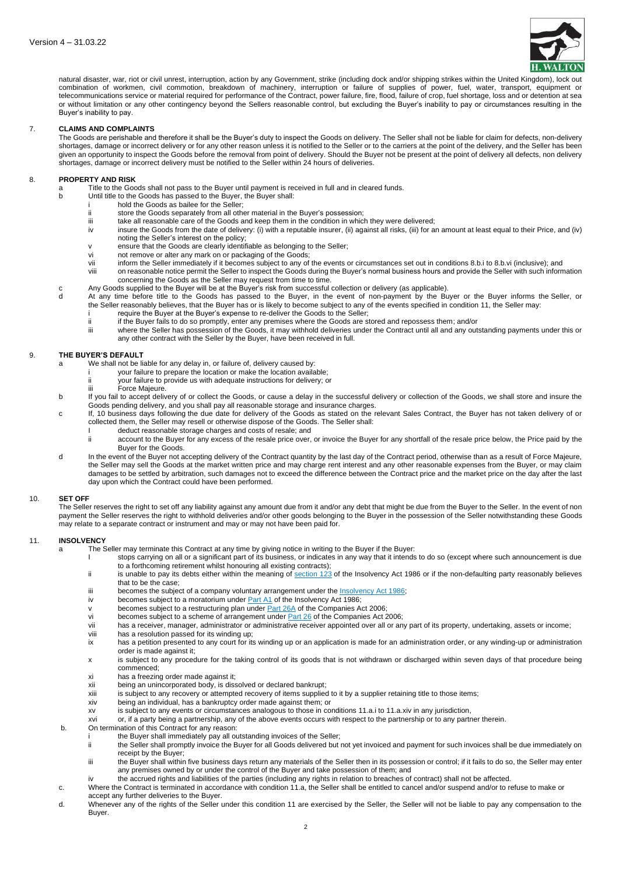

natural disaster, war, riot or civil unrest, interruption, action by any Government, strike (including dock and/or shipping strikes within the United Kingdom), lock out combination of workmen, civil commotion, breakdown of machinery, interruption or failure of supplies of power, fuel, water, transport, equipment or telecommunications service or material required for performance of the Contract, power failure, fire, flood, failure of crop, fuel shortage, loss and or detention at sea or without limitation or any other contingency beyond the Sellers reasonable control, but excluding the Buyer's inability to pay or circumstances resulting in the Buyer's inability to pay.

### 7. **CLAIMS AND COMPLAINTS**

The Goods are perishable and therefore it shall be the Buyer's duty to inspect the Goods on delivery. The Seller shall not be liable for claim for defects, non-delivery shortages, damage or incorrect delivery or for any other reason unless it is notified to the Seller or to the carriers at the point of the delivery, and the Seller has been given an opportunity to inspect the Goods before the removal from point of delivery. Should the Buyer not be present at the point of delivery all defects, non delivery shortages, damage or incorrect delivery must be notified to the Seller within 24 hours of deliveries.

### <span id="page-1-0"></span>8. **PROPERTY AND RISK**

a Title to the Goods shall not pass to the Buyer until payment is received in full and in cleared funds.<br>b Until title to the Goods has passed to the Buyer the Buyer shall

- Until title to the Goods has passed to the Buyer, the Buyer shall:
- i hold the Goods as bailee for the Seller;<br>ii store the Goods separately from all other
- ii store the Goods separately from all other material in the Buyer's possession;<br>iii take all reasonable care of the Goods and keep them in the condition in whic
- iii take all reasonable care of the Goods and keep them in the condition in which they were delivered;<br>iv insure the Goods from the date of delivery: (i) with a reputable insurer. (ii) against all risks. (iii) for a insure the Goods from the date of delivery: (i) with a reputable insurer, (ii) against all risks, (iii) for an amount at least equal to their Price, and (iv) noting the Seller's interest on the policy;
- v ensure that the Goods are clearly identifiable as belonging to the Seller;
- vi not remove or alter any mark on or packaging of the Goods;
- vii inform the Seller immediately if it becomes subject to any of the events or circumstances set out in conditions 8.[b.i](#page-1-0) to 8.[b.vi](#page-1-1) (inclusive); and
- viii on reasonable notice permit the Seller to inspect the Goods during the Buyer's normal business hours and provide the Seller with such information concerning the Goods as the Seller may request from time to time.
- <span id="page-1-1"></span>c Any Goods supplied to the Buyer will be at the Buyer's risk from successful collection or delivery (as applicable).<br>At any time before title to the Goods has passed to the Buyer in the event of non-payment by the Bu
- At any time before title to the Goods has passed to the Buyer, in the event of non-payment by the Buyer or the Buyer informs the Seller, or the Seller reasonably believes, that the Buyer has or is likely to become subject to any of the events specified in condition 11, the Seller may: i require the Buyer at the Buyer's expense to re-deliver the Goods to the Seller;
	-
	- ii if the Buyer fails to do so promptly, enter any premises where the Goods are stored and repossess them; and/or where the Seller has possession of the Goods, it may withhold deliveries under the Contract until all and any outstanding payments under this or any other contract with the Seller by the Buyer, have been received in full.

### 9. **THE BUYER'S DEFAULT**

- a We shall not be liable for any delay in, or failure of, delivery caused by:
	- i your failure to prepare the location or make the location available;
	- ii your failure to provide us with adequate instructions for delivery; or
	- Force Majeure.
- b If you fail to accept delivery of or collect the Goods, or cause a delay in the successful delivery or collection of the Goods, we shall store and insure the Goods pending delivery, and you shall pay all reasonable storage and insurance charges.
- c If, 10 business days following the due date for delivery of the Goods as stated on the relevant Sales Contract, the Buyer has not taken delivery of or collected them, the Seller may resell or otherwise dispose of the Goods. The Seller shall:
	- I deduct reasonable storage charges and costs of resale; and<br>ii account to the Buyer for any excess of the resale price over
		- account to the Buyer for any excess of the resale price over, or invoice the Buyer for any shortfall of the resale price below, the Price paid by the Buyer for the Goods.
- d In the event of the Buyer not accepting delivery of the Contract quantity by the last day of the Contract period, otherwise than as a result of Force Majeure, the Seller may sell the Goods at the market written price and may charge rent interest and any other reasonable expenses from the Buyer, or may claim damages to be settled by arbitration, such damages not to exceed the difference between the Contract price and the market price on the day after the last day upon which the Contract could have been performed.

# 10. **SET OFF**

The Seller reserves the right to set off any liability against any amount due from it and/or any debt that might be due from the Buyer to the Seller. In the event of non payment the Seller reserves the right to withhold deliveries and/or other goods belonging to the Buyer in the possession of the Seller notwithstanding these Goods may relate to a separate contract or instrument and may or may not have been paid for.

# 11. **INSOLVENCY**

- a The Seller may terminate this Contract at any time by giving notice in writing to the Buyer if the Buyer:
	- I stops carrying on all or a significant part of its business, or indicates in any way that it intends to do so (except where such announcement is due to a forthcoming retirement whilst honouring all existing contracts);
	- ii is unable to pay its debts either within the meaning of [section](https://www.lexisnexis.com/uk/lexispsl/commercial/docfromresult/D-WA-A-ZZZE-AUUU-MsSAYWC-UUW-UZEYAAUUW-U-U-U-U-U-U-AZVYWWBEDU-AZVCYUVDDU-WEDCBAUWC-U-U/2/linkHandler.faces?psldocinfo=Sale_of_goods_agreement_pro_supplier&linkInfo=F%23GB%23UK_LEG%23num%251986_45a_SECT_123%25&A=0.6328495216730686&bct=A&risb=&service=citation&langcountry=GB)  $123$  of the Insolvency Act 1986 or if the non-defaulting party reasonably believes that to be the case;
	- iii becomes the subject of a company voluntary arrangement under the  $\frac{InsolverCVAC11986}{Br}$ <br>iv becomes subject to a moratorium under Part A1 of the [Insolvency](https://www.lexisnexis.com/uk/lexispsl/commercial/docfromresult/D-WA-A-ZZZE-AUUU-MsSAYWC-UUW-UZEYAAUUW-U-U-U-U-U-U-AZVYWWBEDU-AZVCYUVDDU-WEDCBAUWC-U-U/2/linkHandler.faces?psldocinfo=Sale_of_goods_agreement_pro_supplier&linkInfo=F%23GB%23UK_LEG%23num%251986_45a_Title%25&A=0.5247535992101774&bct=A&risb=&service=citation&langcountry=GB) Act 1986;
	- becomes subject to a moratorium under **[Part](https://www.lexisnexis.com/uk/lexispsl/commercial/docfromresult/D-WA-A-ZZZE-AUUU-MsSAYWC-UUW-UZEYAAUUW-U-U-U-U-U-U-AZVYWWBEDU-AZVCYUVDDU-WEDCBAUWC-U-U/2/linkHandler.faces?psldocinfo=Sale_of_goods_agreement_pro_supplier&linkInfo=F%23GB%23UK_LEG%23num%251986_45a_PART_A1%25&A=0.13455322288628102&bct=A&risb=&service=citation&langcountry=GB) A1** of the Insolvency Act 1986;
	- v becomes subject to a restructuring plan under  $\frac{\text{Part }26\text{A}}{\text{Out }26\text{ of the Companies Act 2006}}$  $\frac{\text{Part }26\text{A}}{\text{Out }26\text{ of the Companies Act 2006}}$  $\frac{\text{Part }26\text{A}}{\text{Out }26\text{ of the Companies Act 2006}}$ ;<br>vi becomes subject to a scheme of arrangement under Part 26 of the Companies Act 2
	- vi becomes subject to a scheme of arrangement under  $\frac{Part\ 26}{Part\ 26}$  $\frac{Part\ 26}{Part\ 26}$  $\frac{Part\ 26}{Part\ 26}$  of the Companies Act 2006;<br>vii has a receiver manager administrator or administrative receiver appointed over all or an
	- vii has a receiver, manager, administrator or administrative receiver appointed over all or any part of its property, undertaking, assets or income;<br>viii has a resolution passed for its winding up:
	- has a resolution passed for its winding up;
	- ix has a petition presented to any court for its winding up or an application is made for an administration order, or any winding-up or administration order is made against it;
	- x is subject to any procedure for the taking control of its goods that is not withdrawn or discharged within seven days of that procedure being commenced;
	- xi has a freezing order made against it;
	- xii being an unincorporated body, is dissolved or declared bankrupt;
	- xiii is subject to any recovery or attempted recovery of items supplied to it by a supplier retaining title to those items;
	- xiv being an individual, has a bankruptcy order made against them; or
	- xv is subject to any events or circumstances analogous to those in conditions 11.a.i to 11.a.xiv in any jurisdiction,
	- xvi or, if a party being a partnership, any of the above events occurs with respect to the partnership or to any partner therein.
- b. On termination of this Contract for any reason:
	- i the Buyer shall immediately pay all outstanding invoices of the Seller;
	- ii the Seller shall promptly invoice the Buyer for all Goods delivered but not yet invoiced and payment for such invoices shall be due immediately on receipt by the Buyer; iii the Buyer shall within five business days return any materials of the Seller then in its possession or control; if it fails to do so, the Seller may enter
	- any premises owned by or under the control of the Buyer and take possession of them; and
	- iv the accrued rights and liabilities of the parties (including any rights in relation to breaches of contract) shall not be affected.
- c. Where the Contract is terminated in accordance with condition 11.a, the Seller shall be entitled to cancel and/or suspend and/or to refuse to make or
- accept any further deliveries to the Buyer.
- d. Whenever any of the rights of the Seller under this condition 11 are exercised by the Seller, the Seller will not be liable to pay any compensation to the Buyer.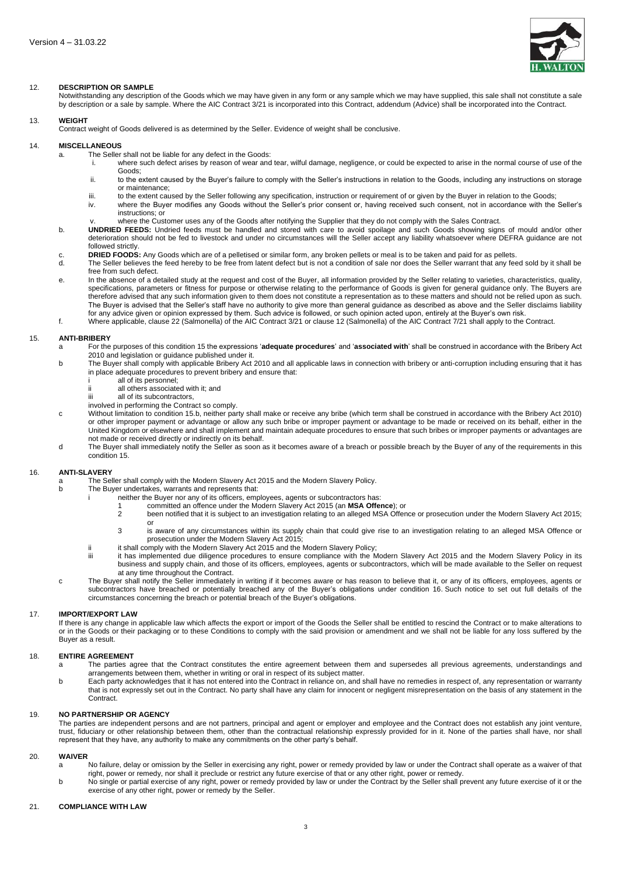

# 12. **DESCRIPTION OR SAMPLE**

Notwithstanding any description of the Goods which we may have given in any form or any sample which we may have supplied, this sale shall not constitute a sale by description or a sale by sample. Where the AIC Contract 3/21 is incorporated into this Contract, addendum (Advice) shall be incorporated into the Contract.

# 13. **WEIGHT**

Contract weight of Goods delivered is as determined by the Seller. Evidence of weight shall be conclusive.

### <span id="page-2-0"></span>14. **MISCELLANEOUS**

- a. The Seller shall not be liable for any defect in the Goods:<br>i. where such defect arises by reason of wear and
	- where such defect arises by reason of wear and tear, wilful damage, negligence, or could be expected to arise in the normal course of use of the Goods;
	- ii. to the extent caused by the Buyer's failure to comply with the Seller's instructions in relation to the Goods, including any instructions on storage or maintenance;
	- iii. to the extent caused by the Seller following any specification, instruction or requirement of or given by the Buyer in relation to the Goods;<br>iv. where the Buyer modifies any Goods without the Seller's prior consent o where the Buyer modifies any Goods without the Seller's prior consent or, having received such consent, not in accordance with the Seller's instructions; or
	- where the Customer uses any of the Goods after notifying the Supplier that they do not comply with the Sales Contract.
- b. **UNDRIED FEEDS:** Undried feeds must be handled and stored with care to avoid spoilage and such Goods showing signs of mould and/or other deterioration should not be fed to livestock and under no circumstances will the Seller accept any liability whatsoever where DEFRA guidance are not followed strictly.
- c. **DRIED FOODS:** Any Goods which are of a pelletised or similar form, any broken pellets or meal is to be taken and paid for as pellets.
- The Seller believes the feed hereby to be free from latent defect but is not a condition of sale nor does the Seller warrant that any feed sold by it shall be free from such defect.
- e. In the absence of a detailed study at the request and cost of the Buyer, all information provided by the Seller relating to varieties, characteristics, quality, specifications, parameters or fitness for purpose or otherwise relating to the performance of Goods is given for general guidance only. The Buyers are therefore advised that any such information given to them does not constitute a representation as to these matters and should not be relied upon as such. The Buyer is advised that the Seller's staff have no authority to give more than general guidance as described as above and the Seller disclaims liability
- for any advice given or opinion expressed by them. Such advice is followed, or such opinion acted upon, entirely at the Buyer's own risk. f. Where applicable, clause 22 (Salmonella) of the AIC Contract 3/21 or clause 12 (Salmonella) of the AIC Contract 7/21 shall apply to the Contract.

#### <span id="page-2-3"></span><span id="page-2-2"></span>15. **ANTI-BRIBERY**

- <span id="page-2-1"></span>a For the purposes of this condition [15](#page-2-1) the expressions '**adequate procedures**' and '**associated with**' shall be construed in accordance with the Bribery Act 2010 and legislation or guidance published under it.
- b The Buyer shall comply with applicable Bribery Act 2010 and all applicable laws in connection with bribery or anti-corruption including ensuring that it has in place adequate procedures to prevent bribery and ensure that:
	- i all of its personnel;<br>i all others associate
		- ii all others associated with it; and<br>iii all of its subcontractors
		- all of its subcontractors,
	- involved in performing the Contract so comply.
- c Without limitation to condition 1[5.b,](#page-2-2) neither party shall make or receive any bribe (which term shall be construed in accordance with the Bribery Act 2010) or other improper payment or advantage or allow any such bribe or improper payment or advantage to be made or received on its behalf, either in the United Kingdom or elsewhere and shall implement and maintain adequate procedures to ensure that such bribes or improper payments or advantages are not made or received directly or indirectly on its behalf.
- d The Buyer shall immediately notify the Seller as soon as it becomes aware of a breach or possible breach by the Buyer of any of the requirements in this condition [15.](#page-2-3)

# <span id="page-2-4"></span>16. **ANTI-SLAVERY**

- a The Seller shall comply with the Modern Slavery Act 2015 and the Modern Slavery Policy.
	- The Buyer undertakes, warrants and represents that:
		- i neither the Buyer nor any of its officers, employees, agents or subcontractors has:
			- 1 committed an offence under the Modern Slavery Act 2015 (an **MSA Offence**); or
			- 2 been notified that it is subject to an investigation relating to an alleged MSA Offence or prosecution under the Modern Slavery Act 2015; or
			- 3 is aware of any circumstances within its supply chain that could give rise to an investigation relating to an alleged MSA Offence or prosecution under the Modern Slavery Act 2015;
		- ii it shall comply with the Modern Slavery Act 2015 and the Modern Slavery Policy;<br>iii it has implemented due dilinence procedures to ensure compliance with the M
		- it has implemented due diligence procedures to ensure compliance with the Modern Slavery Act 2015 and the Modern Slavery Policy in its business and supply chain, and those of its officers, employees, agents or subcontractors, which will be made available to the Seller on request at any time throughout the Contract.
- c The Buyer shall notify the Seller immediately in writing if it becomes aware or has reason to believe that it, or any of its officers, employees, agents or subcontractors have breached or potentially breached any of the Buyer's obligations under condition [16.](#page-2-4) Such notice to set out full details of the circumstances concerning the breach or potential breach of the Buyer's obligations.

#### 17. **IMPORT/EXPORT LAW**

If there is any change in applicable law which affects the export or import of the Goods the Seller shall be entitled to rescind the Contract or to make alterations to or in the Goods or their packaging or to these Conditions to comply with the said provision or amendment and we shall not be liable for any loss suffered by the Buyer as a result.

### 18. **ENTIRE AGREEMENT**

- The parties agree that the Contract constitutes the entire agreement between them and supersedes all previous agreements, understandings and arrangements between them, whether in writing or oral in respect of its subject matter.
- b Each party acknowledges that it has not entered into the Contract in reliance on, and shall have no remedies in respect of, any representation or warranty that is not expressly set out in the Contract. No party shall have any claim for innocent or negligent misrepresentation on the basis of any statement in the Contract.

### 19. **NO PARTNERSHIP OR AGENCY**

The parties are independent persons and are not partners, principal and agent or employer and employee and the Contract does not establish any joint venture, trust, fiduciary or other relationship between them, other than the contractual relationship expressly provided for in it. None of the parties shall have, nor shall represent that they have, any authority to make any commitments on the other party's behalf.

#### 20. **WAIVER**

- a No failure, delay or omission by the Seller in exercising any right, power or remedy provided by law or under the Contract shall operate as a waiver of that right, power or remedy, nor shall it preclude or restrict any future exercise of that or any other right, power or remedy.
- b No single or partial exercise of any right, power or remedy provided by law or under the Contract by the Seller shall prevent any future exercise of it or the exercise of any other right, power or remedy by the Seller.

# 21. **COMPLIANCE WITH LAW**